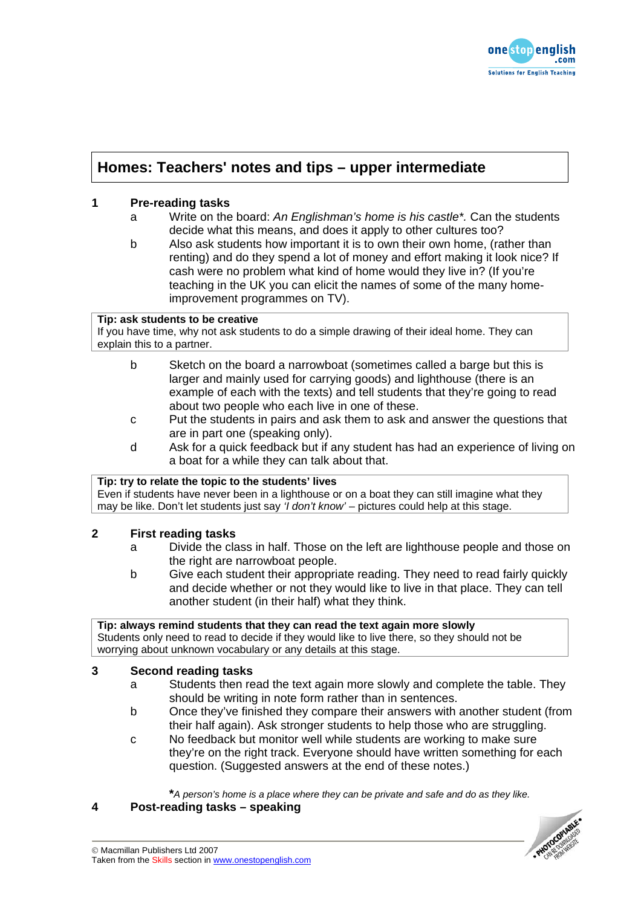

# **Homes: Teachers' notes and tips – upper intermediate**

## **1 Pre-reading tasks**

- a Write on the board: *An Englishman's home is his castle\*.* Can the students decide what this means, and does it apply to other cultures too?
- b Also ask students how important it is to own their own home, (rather than renting) and do they spend a lot of money and effort making it look nice? If cash were no problem what kind of home would they live in? (If you're teaching in the UK you can elicit the names of some of the many homeimprovement programmes on TV).

## **Tip: ask students to be creative**

If you have time, why not ask students to do a simple drawing of their ideal home. They can explain this to a partner.

- b Sketch on the board a narrowboat (sometimes called a barge but this is larger and mainly used for carrying goods) and lighthouse (there is an example of each with the texts) and tell students that they're going to read about two people who each live in one of these.
- c Put the students in pairs and ask them to ask and answer the questions that are in part one (speaking only).
- d Ask for a quick feedback but if any student has had an experience of living on a boat for a while they can talk about that.

## **Tip: try to relate the topic to the students' lives**

Even if students have never been in a lighthouse or on a boat they can still imagine what they may be like. Don't let students just say *'I don't know'* – pictures could help at this stage.

## **2 First reading tasks**

- a Divide the class in half. Those on the left are lighthouse people and those on the right are narrowboat people.
- b Give each student their appropriate reading. They need to read fairly quickly and decide whether or not they would like to live in that place. They can tell another student (in their half) what they think.

**Tip: always remind students that they can read the text again more slowly**  Students only need to read to decide if they would like to live there, so they should not be worrying about unknown vocabulary or any details at this stage.

# **3 Second reading tasks**

- a Students then read the text again more slowly and complete the table. They should be writing in note form rather than in sentences.
- b Once they've finished they compare their answers with another student (from their half again). Ask stronger students to help those who are struggling.
- c No feedback but monitor well while students are working to make sure they're on the right track. Everyone should have written something for each question. (Suggested answers at the end of these notes.)

**\****A person's home is a place where they can be private and safe and do as they like.*

#### **4 Post-reading tasks – speaking**